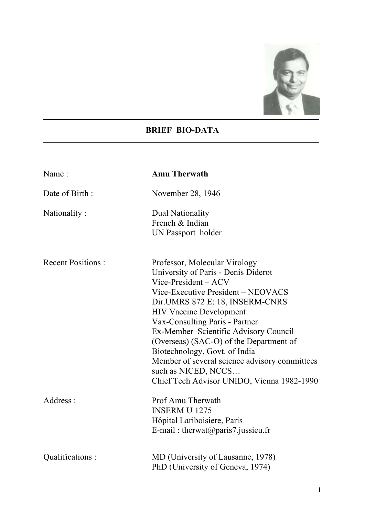

## **BRIEF BIO-DATA**

| Name:                    | <b>Amu Therwath</b>                                                                                                                                                                                                                                                                                                                                                                                                                                                                     |  |
|--------------------------|-----------------------------------------------------------------------------------------------------------------------------------------------------------------------------------------------------------------------------------------------------------------------------------------------------------------------------------------------------------------------------------------------------------------------------------------------------------------------------------------|--|
| Date of Birth:           | November 28, 1946                                                                                                                                                                                                                                                                                                                                                                                                                                                                       |  |
| Nationality:             | Dual Nationality<br>French & Indian<br>UN Passport holder                                                                                                                                                                                                                                                                                                                                                                                                                               |  |
| <b>Recent Positions:</b> | Professor, Molecular Virology<br>University of Paris - Denis Diderot<br>$Vice-President - ACV$<br>Vice-Executive President – NEOVACS<br>Dir. UMRS 872 E: 18, INSERM-CNRS<br><b>HIV Vaccine Development</b><br>Vax-Consulting Paris - Partner<br>Ex-Member-Scientific Advisory Council<br>(Overseas) (SAC-O) of the Department of<br>Biotechnology, Govt. of India<br>Member of several science advisory committees<br>such as NICED, NCCS<br>Chief Tech Advisor UNIDO, Vienna 1982-1990 |  |
| Address:                 | Prof Amu Therwath<br><b>INSERM U 1275</b><br>Hôpital Lariboisiere, Paris<br>E-mail: therwat@paris7.jussieu.fr                                                                                                                                                                                                                                                                                                                                                                           |  |
| Qualifications:          | MD (University of Lausanne, 1978)<br>PhD (University of Geneva, 1974)                                                                                                                                                                                                                                                                                                                                                                                                                   |  |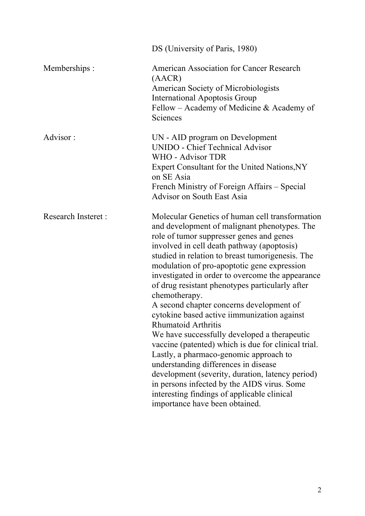|                           | DS (University of Paris, 1980)                                                                                                                                                                                                                                                                                                                                                                                                                                                                                                                                                                                                                                                                                                                                                                                                                                                                                      |  |
|---------------------------|---------------------------------------------------------------------------------------------------------------------------------------------------------------------------------------------------------------------------------------------------------------------------------------------------------------------------------------------------------------------------------------------------------------------------------------------------------------------------------------------------------------------------------------------------------------------------------------------------------------------------------------------------------------------------------------------------------------------------------------------------------------------------------------------------------------------------------------------------------------------------------------------------------------------|--|
| Memberships:              | <b>American Association for Cancer Research</b><br>(AACR)<br><b>American Society of Microbiologists</b><br><b>International Apoptosis Group</b><br>Fellow – Academy of Medicine & Academy of<br>Sciences                                                                                                                                                                                                                                                                                                                                                                                                                                                                                                                                                                                                                                                                                                            |  |
| Advisor:                  | UN - AID program on Development<br>UNIDO - Chief Technical Advisor<br>WHO - Advisor TDR<br>Expert Consultant for the United Nations, NY<br>on SE Asia<br>French Ministry of Foreign Affairs – Special<br><b>Advisor on South East Asia</b>                                                                                                                                                                                                                                                                                                                                                                                                                                                                                                                                                                                                                                                                          |  |
| <b>Research Insteret:</b> | Molecular Genetics of human cell transformation<br>and development of malignant phenotypes. The<br>role of tumor suppresser genes and genes<br>involved in cell death pathway (apoptosis)<br>studied in relation to breast tumorigenesis. The<br>modulation of pro-apoptotic gene expression<br>investigated in order to overcome the appearance<br>of drug resistant phenotypes particularly after<br>chemotherapy.<br>A second chapter concerns development of<br>cytokine based active iimmunization against<br>Rhumatoid Arthritis<br>We have successfully developed a therapeutic<br>vaccine (patented) which is due for clinical trial.<br>Lastly, a pharmaco-genomic approach to<br>understanding differences in disease<br>development (severity, duration, latency period)<br>in persons infected by the AIDS virus. Some<br>interesting findings of applicable clinical<br>importance have been obtained. |  |